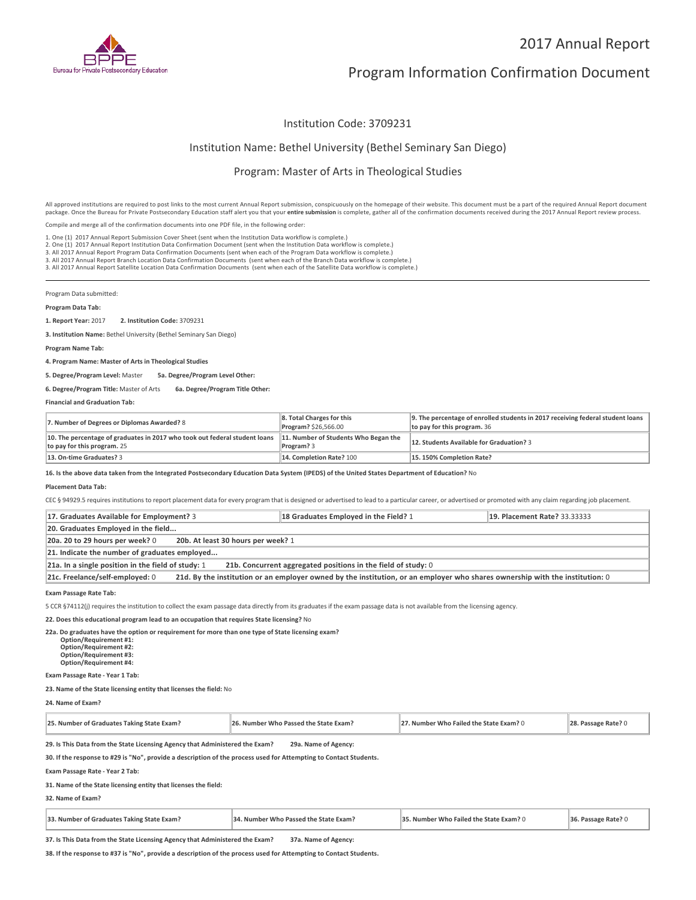

## 2017 Annual Report

# Program Information Confirmation Document

#### Institution Code: 3709231

#### Institution Name: Bethel University (Bethel Seminary San Diego)

### Program: Master of Arts in Theological Studies

All approved institutions are required to post links to the most current Annual Report submission, conspicuously on the homepage of their website. This document must be a part of the required Annual Report document package. Once the Bureau for Private Postsecondary Education staff alert you that your **entire submission** is complete, gather all of the confirmation documents received during the 2017 Annual Report review process.

Compile and merge all of the confirmation documents into one PDF file, in the following order:

1. One (1) 2017 Annual Report Submission Cover Sheet (sent when the Institution Data workflow is complete.) 1. One (1) 2017 Annual Report Submission Cover Sheet (sent when the Institution Data workflow is complete.)<br>2. One (1) 2017 Annual Report Institution Data Confirmation Document (sent when the Institution Data workflow is c

3. All 2017 Annual Report Branch Location Data Confirmation Documents (sent when each of the Branch Data workflow is complete.)

3. All 2017 Annual Report Satellite Location Data Confirmation Documents (sent when each of the Satellite Data workflow is complete.)

Program Data submitted:

#### **Program Data Tab:**

**1. Report Year:** 2017 **2. Institution Code:** <sup>3709231</sup>

**3. Institution Name:** Bethel University (Bethel Seminary San Diego)

**Program Name Tab:**

**4. Program Name: Master of Arts in Theological Studies** 

**5. Degree/Program Level:** Master **5a. Degree/Program Level Other:**

**6. Degree/Program Title:** Master of Arts **6a. Degree/Program Title Other:**

**Financial and Graduation Tab:**

| 7. Number of Degrees or Diplomas Awarded? 8                                                               | 8. Total Charges for this<br>Program? \$26,566.00  | 9. The percentage of enrolled students in 2017 receiving federal student loans<br>to pay for this program. 36 |
|-----------------------------------------------------------------------------------------------------------|----------------------------------------------------|---------------------------------------------------------------------------------------------------------------|
| 10. The percentage of graduates in 2017 who took out federal student loans<br>to pay for this program. 25 | 11. Number of Students Who Began the<br>Program? 3 | 12. Students Available for Graduation? 3                                                                      |
| 13. On-time Graduates? 3                                                                                  | 14. Completion Rate? 100                           | 15.150% Completion Rate?                                                                                      |

**16. Is the above data taken from the Integrated Postsecondary Education Data System (IPEDS) of the United States Department of Education?** No

#### **Placement Data Tab:**

CEC § 94929.5 requires institutions to report placement data for every program that is designed or advertised to lead to a particular career, or advertised or promoted with any claim regarding job placement.

| 17. Graduates Available for Employment? 3                                                                                                                       | 18 Graduates Employed in the Field? 1 | <b>19. Placement Rate? 33.33333</b> |  |
|-----------------------------------------------------------------------------------------------------------------------------------------------------------------|---------------------------------------|-------------------------------------|--|
| 20. Graduates Employed in the field                                                                                                                             |                                       |                                     |  |
| 20a. 20 to 29 hours per week? 0<br>20b. At least 30 hours per week? 1                                                                                           |                                       |                                     |  |
| 21. Indicate the number of graduates employed                                                                                                                   |                                       |                                     |  |
| 21a. In a single position in the field of study: 1<br>21b. Concurrent aggregated positions in the field of study: 0                                             |                                       |                                     |  |
| 21d. By the institution or an employer owned by the institution, or an employer who shares ownership with the institution: 0<br>21c. Freelance/self-employed: 0 |                                       |                                     |  |

**Exam Passage Rate Tab:**

5 CCR §74112(j) requires the institution to collect the exam passage data directly from its graduates if the exam passage data is not available from the licensing agency.

**22. Does this educational program lead to an occupation that requires State licensing?** No

**22a. Do graduates have the option or requirement for more than one type of State licensing exam? Option/Requirement #1: Option/Requirement #2: Option/Requirement #3: Option/Requirement #4:**

**Exam Passage Rate - Year 1 Tab:**

**23. Name of the State licensing entity that licenses the field:** No

**24. Name of Exam?**

| 25. Number of Graduates Taking State Exam?                                   | 26. Number Who Passed the State Exam? | 27. Number Who Failed the State Exam? 0 | 28. Passage Rate? 0 |
|------------------------------------------------------------------------------|---------------------------------------|-----------------------------------------|---------------------|
| 29. Is This Data from the State Licensing Agency that Administered the Exam? | 29a. Name of Agency:                  |                                         |                     |

**30. If the response to #29 is "No", provide a description of the process used for Attempting to Contact Students.**

**Exam Passage Rate - Year 2 Tab:**

**31. Name of the State licensing entity that licenses the field:**

**32. Name of Exam?**

| 33. Number of Graduates Taking State Exam? | 34. Number Who Passed the State Exam? | 35. Number Who Failed the State Exam? 0 | 36. Passage Rate? 0 |
|--------------------------------------------|---------------------------------------|-----------------------------------------|---------------------|
|--------------------------------------------|---------------------------------------|-----------------------------------------|---------------------|

**37. Is This Data from the State Licensing Agency that Administered the Exam? 37a. Name of Agency:**

**38. If the response to #37 is "No", provide a description of the process used for Attempting to Contact Students.**